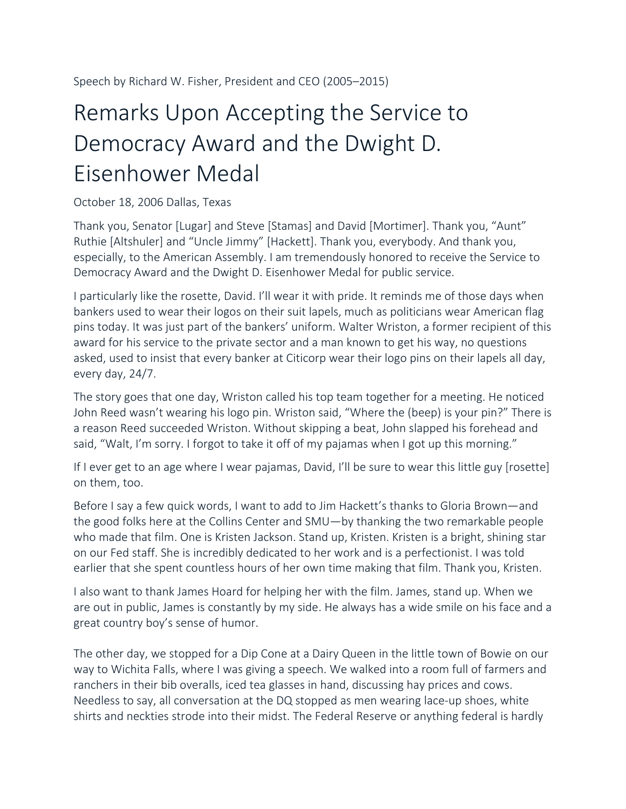## Remarks Upon Accepting the Service to Democracy Award and the Dwight D. Eisenhower Medal

## October 18, 2006 Dallas, Texas

Thank you, Senator [Lugar] and Steve [Stamas] and David [Mortimer]. Thank you, "Aunt" Ruthie [Altshuler] and "Uncle Jimmy" [Hackett]. Thank you, everybody. And thank you, especially, to the American Assembly. I am tremendously honored to receive the Service to Democracy Award and the Dwight D. Eisenhower Medal for public service.

I particularly like the rosette, David. I'll wear it with pride. It reminds me of those days when bankers used to wear their logos on their suit lapels, much as politicians wear American flag pins today. It was just part of the bankers' uniform. Walter Wriston, a former recipient of this award for his service to the private sector and a man known to get his way, no questions asked, used to insist that every banker at Citicorp wear their logo pins on their lapels all day, every day, 24/7.

The story goes that one day, Wriston called his top team together for a meeting. He noticed John Reed wasn't wearing his logo pin. Wriston said, "Where the (beep) is your pin?" There is a reason Reed succeeded Wriston. Without skipping a beat, John slapped his forehead and said, "Walt, I'm sorry. I forgot to take it off of my pajamas when I got up this morning."

If I ever get to an age where I wear pajamas, David, I'll be sure to wear this little guy [rosette] on them, too.

Before I say a few quick words, I want to add to Jim Hackett's thanks to Gloria Brown—and the good folks here at the Collins Center and SMU—by thanking the two remarkable people who made that film. One is Kristen Jackson. Stand up, Kristen. Kristen is a bright, shining star on our Fed staff. She is incredibly dedicated to her work and is a perfectionist. I was told earlier that she spent countless hours of her own time making that film. Thank you, Kristen.

I also want to thank James Hoard for helping her with the film. James, stand up. When we are out in public, James is constantly by my side. He always has a wide smile on his face and a great country boy's sense of humor.

The other day, we stopped for a Dip Cone at a Dairy Queen in the little town of Bowie on our way to Wichita Falls, where I was giving a speech. We walked into a room full of farmers and ranchers in their bib overalls, iced tea glasses in hand, discussing hay prices and cows. Needless to say, all conversation at the DQ stopped as men wearing lace-up shoes, white shirts and neckties strode into their midst. The Federal Reserve or anything federal is hardly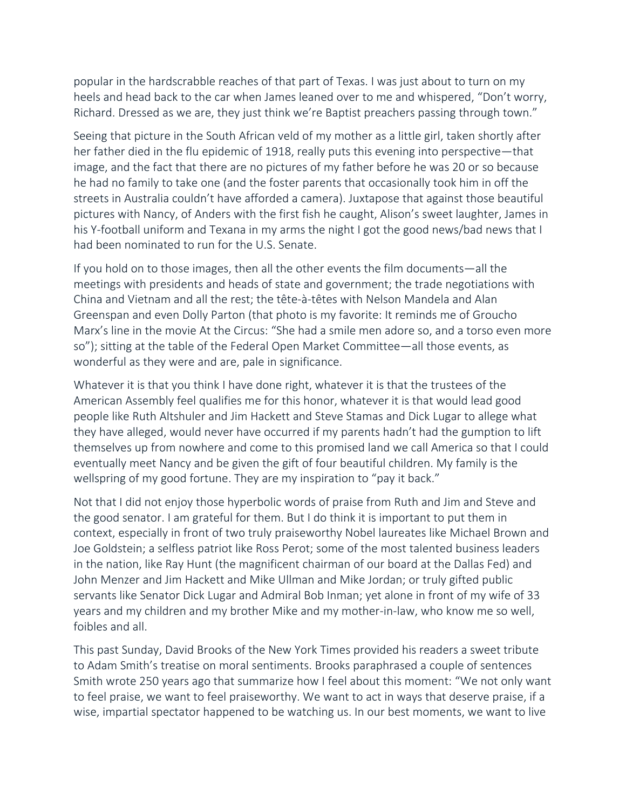popular in the hardscrabble reaches of that part of Texas. I was just about to turn on my heels and head back to the car when James leaned over to me and whispered, "Don't worry, Richard. Dressed as we are, they just think we're Baptist preachers passing through town."

Seeing that picture in the South African veld of my mother as a little girl, taken shortly after her father died in the flu epidemic of 1918, really puts this evening into perspective—that image, and the fact that there are no pictures of my father before he was 20 or so because he had no family to take one (and the foster parents that occasionally took him in off the streets in Australia couldn't have afforded a camera). Juxtapose that against those beautiful pictures with Nancy, of Anders with the first fish he caught, Alison's sweet laughter, James in his Y-football uniform and Texana in my arms the night I got the good news/bad news that I had been nominated to run for the U.S. Senate.

If you hold on to those images, then all the other events the film documents—all the meetings with presidents and heads of state and government; the trade negotiations with China and Vietnam and all the rest; the tête-à-têtes with Nelson Mandela and Alan Greenspan and even Dolly Parton (that photo is my favorite: It reminds me of Groucho Marx's line in the movie At the Circus: "She had a smile men adore so, and a torso even more so"); sitting at the table of the Federal Open Market Committee—all those events, as wonderful as they were and are, pale in significance.

Whatever it is that you think I have done right, whatever it is that the trustees of the American Assembly feel qualifies me for this honor, whatever it is that would lead good people like Ruth Altshuler and Jim Hackett and Steve Stamas and Dick Lugar to allege what they have alleged, would never have occurred if my parents hadn't had the gumption to lift themselves up from nowhere and come to this promised land we call America so that I could eventually meet Nancy and be given the gift of four beautiful children. My family is the wellspring of my good fortune. They are my inspiration to "pay it back."

Not that I did not enjoy those hyperbolic words of praise from Ruth and Jim and Steve and the good senator. I am grateful for them. But I do think it is important to put them in context, especially in front of two truly praiseworthy Nobel laureates like Michael Brown and Joe Goldstein; a selfless patriot like Ross Perot; some of the most talented business leaders in the nation, like Ray Hunt (the magnificent chairman of our board at the Dallas Fed) and John Menzer and Jim Hackett and Mike Ullman and Mike Jordan; or truly gifted public servants like Senator Dick Lugar and Admiral Bob Inman; yet alone in front of my wife of 33 years and my children and my brother Mike and my mother-in-law, who know me so well, foibles and all.

This past Sunday, David Brooks of the New York Times provided his readers a sweet tribute to Adam Smith's treatise on moral sentiments. Brooks paraphrased a couple of sentences Smith wrote 250 years ago that summarize how I feel about this moment: "We not only want to feel praise, we want to feel praiseworthy. We want to act in ways that deserve praise, if a wise, impartial spectator happened to be watching us. In our best moments, we want to live